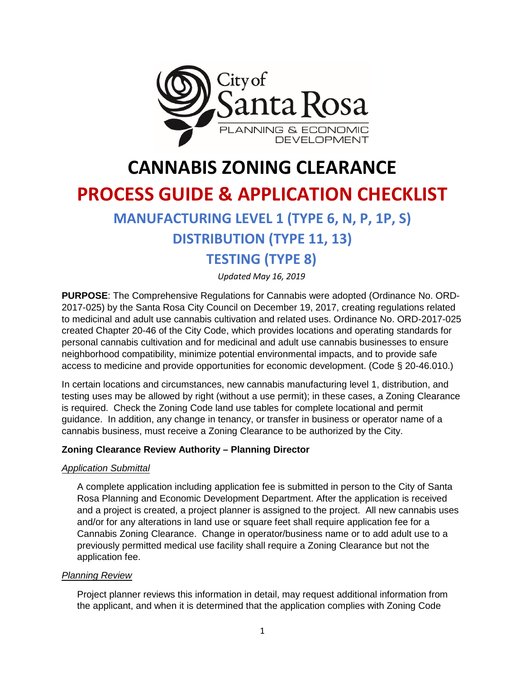

# **CANNABIS ZONING CLEARANCE**

# **PROCESS GUIDE & APPLICATION CHECKLIST**

## **MANUFACTURING LEVEL 1 (TYPE 6, N, P, 1P, S)**

## **DISTRIBUTION (TYPE 11, 13)**

## **TESTING (TYPE 8)**

*Updated May 16, 2019* 

**PURPOSE**: The Comprehensive Regulations for Cannabis were adopted (Ordinance No. ORD-2017-025) by the Santa Rosa City Council on December 19, 2017, creating regulations related to medicinal and adult use cannabis cultivation and related uses. Ordinance No. ORD-2017-025 created Chapter 20-46 of the City Code, which provides locations and operating standards for personal cannabis cultivation and for medicinal and adult use cannabis businesses to ensure neighborhood compatibility, minimize potential environmental impacts, and to provide safe access to medicine and provide opportunities for economic development. (Code § 20-46.010.)

In certain locations and circumstances, new cannabis manufacturing level 1, distribution, and testing uses may be allowed by right (without a use permit); in these cases, a Zoning Clearance is required. Check the Zoning Code land use tables for complete locational and permit guidance. In addition, any change in tenancy, or transfer in business or operator name of a cannabis business, must receive a Zoning Clearance to be authorized by the City.

### **Zoning Clearance Review Authority – Planning Director**

#### *Application Submittal*

A complete application including application fee is submitted in person to the City of Santa Rosa Planning and Economic Development Department. After the application is received and a project is created, a project planner is assigned to the project. All new cannabis uses and/or for any alterations in land use or square feet shall require application fee for a Cannabis Zoning Clearance. Change in operator/business name or to add adult use to a previously permitted medical use facility shall require a Zoning Clearance but not the application fee.

### *Planning Review*

Project planner reviews this information in detail, may request additional information from the applicant, and when it is determined that the application complies with Zoning Code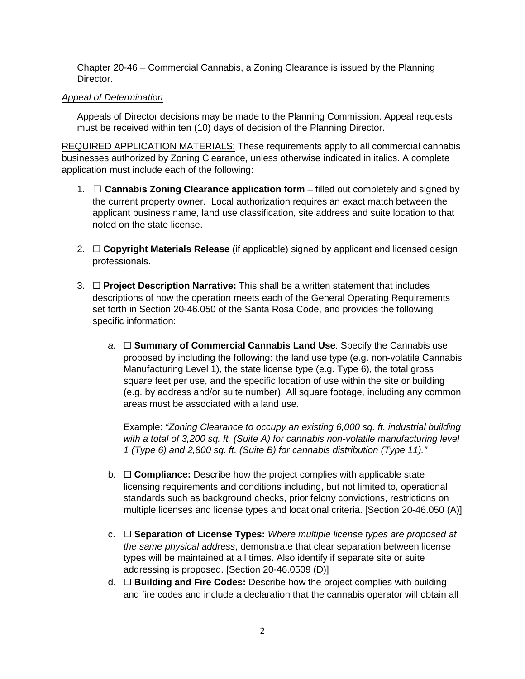Chapter 20-46 – Commercial Cannabis, a Zoning Clearance is issued by the Planning Director.

### *Appeal of Determination*

Appeals of Director decisions may be made to the Planning Commission. Appeal requests must be received within ten (10) days of decision of the Planning Director.

REQUIRED APPLICATION MATERIALS: These requirements apply to all commercial cannabis businesses authorized by Zoning Clearance, unless otherwise indicated in italics. A complete application must include each of the following:

- 1. ☐ **Cannabis Zoning Clearance application form** filled out completely and signed by the current property owner. Local authorization requires an exact match between the applicant business name, land use classification, site address and suite location to that noted on the state license.
- 2. ☐ **Copyright Materials Release** (if applicable) signed by applicant and licensed design professionals.
- 3. ☐ **Project Description Narrative:** This shall be a written statement that includes descriptions of how the operation meets each of the General Operating Requirements set forth in Section 20-46.050 of the Santa Rosa Code, and provides the following specific information:
	- *a.* ☐ **Summary of Commercial Cannabis Land Use**: Specify the Cannabis use proposed by including the following: the land use type (e.g. non-volatile Cannabis Manufacturing Level 1), the state license type (e.g. Type 6), the total gross square feet per use, and the specific location of use within the site or building (e.g. by address and/or suite number). All square footage, including any common areas must be associated with a land use.

Example: *"Zoning Clearance to occupy an existing 6,000 sq. ft. industrial building with a total of 3,200 sq. ft. (Suite A) for cannabis non-volatile manufacturing level 1 (Type 6) and 2,800 sq. ft. (Suite B) for cannabis distribution (Type 11)."*

- b. ☐ **Compliance:** Describe how the project complies with applicable state licensing requirements and conditions including, but not limited to, operational standards such as background checks, prior felony convictions, restrictions on multiple licenses and license types and locational criteria. [Section 20-46.050 (A)]
- c. ☐ **Separation of License Types:** *Where multiple license types are proposed at the same physical address*, demonstrate that clear separation between license types will be maintained at all times. Also identify if separate site or suite addressing is proposed. [Section 20-46.0509 (D)]
- d. ☐ **Building and Fire Codes:** Describe how the project complies with building and fire codes and include a declaration that the cannabis operator will obtain all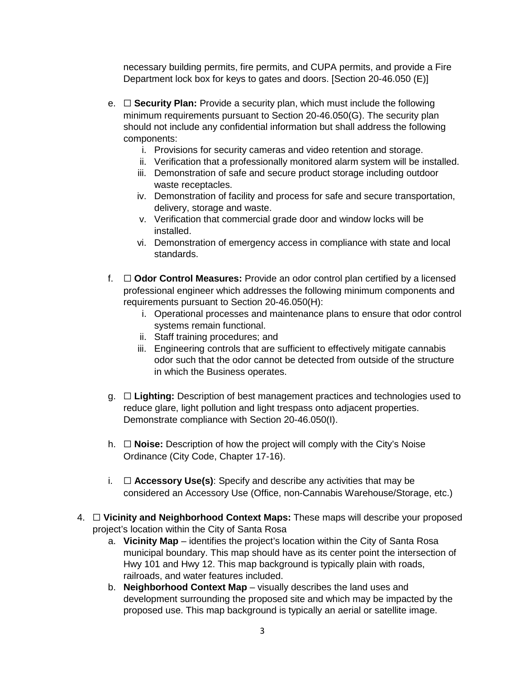necessary building permits, fire permits, and CUPA permits, and provide a Fire Department lock box for keys to gates and doors. [Section 20-46.050 (E)]

- e. ☐ **Security Plan:** Provide a security plan, which must include the following minimum requirements pursuant to Section 20-46.050(G). The security plan should not include any confidential information but shall address the following components:
	- i. Provisions for security cameras and video retention and storage.
	- ii. Verification that a professionally monitored alarm system will be installed.
	- iii. Demonstration of safe and secure product storage including outdoor waste receptacles.
	- iv. Demonstration of facility and process for safe and secure transportation, delivery, storage and waste.
	- v. Verification that commercial grade door and window locks will be installed.
	- vi. Demonstration of emergency access in compliance with state and local standards.
- f. ☐ **Odor Control Measures:** Provide an odor control plan certified by a licensed professional engineer which addresses the following minimum components and requirements pursuant to Section 20-46.050(H):
	- i. Operational processes and maintenance plans to ensure that odor control systems remain functional.
	- ii. Staff training procedures; and
	- iii. Engineering controls that are sufficient to effectively mitigate cannabis odor such that the odor cannot be detected from outside of the structure in which the Business operates.
- g. ☐ **Lighting:** Description of best management practices and technologies used to reduce glare, light pollution and light trespass onto adjacent properties. Demonstrate compliance with Section 20-46.050(I).
- h. ☐ **Noise:** Description of how the project will comply with the City's Noise Ordinance (City Code, Chapter 17-16).
- i. ☐ **Accessory Use(s)**: Specify and describe any activities that may be considered an Accessory Use (Office, non-Cannabis Warehouse/Storage, etc.)
- 4. ☐ **Vicinity and Neighborhood Context Maps:** These maps will describe your proposed project's location within the City of Santa Rosa
	- a. **Vicinity Map** identifies the project's location within the City of Santa Rosa municipal boundary. This map should have as its center point the intersection of Hwy 101 and Hwy 12. This map background is typically plain with roads, railroads, and water features included.
	- b. **Neighborhood Context Map** visually describes the land uses and development surrounding the proposed site and which may be impacted by the proposed use. This map background is typically an aerial or satellite image.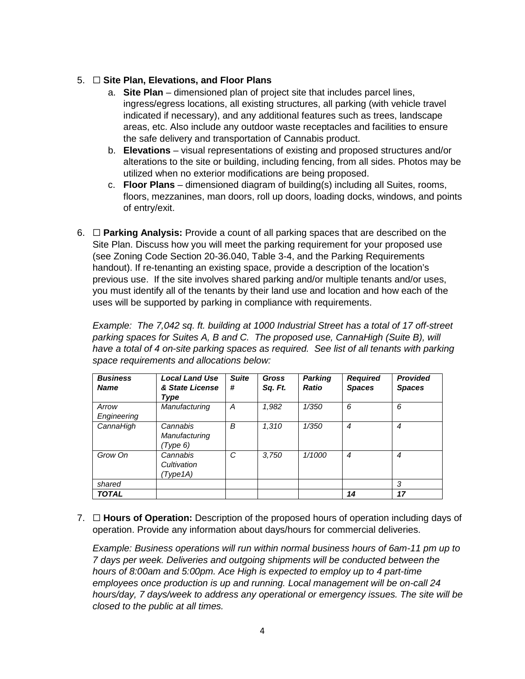## 5. ☐ **Site Plan, Elevations, and Floor Plans**

- a. **Site Plan** dimensioned plan of project site that includes parcel lines, ingress/egress locations, all existing structures, all parking (with vehicle travel indicated if necessary), and any additional features such as trees, landscape areas, etc. Also include any outdoor waste receptacles and facilities to ensure the safe delivery and transportation of Cannabis product.
- b. **Elevations** visual representations of existing and proposed structures and/or alterations to the site or building, including fencing, from all sides. Photos may be utilized when no exterior modifications are being proposed.
- c. **Floor Plans** dimensioned diagram of building(s) including all Suites, rooms, floors, mezzanines, man doors, roll up doors, loading docks, windows, and points of entry/exit.
- 6. ☐ **Parking Analysis:** Provide a count of all parking spaces that are described on the Site Plan. Discuss how you will meet the parking requirement for your proposed use (see Zoning Code Section 20-36.040, Table 3-4, and the Parking Requirements handout). If re-tenanting an existing space, provide a description of the location's previous use. If the site involves shared parking and/or multiple tenants and/or uses, you must identify all of the tenants by their land use and location and how each of the uses will be supported by parking in compliance with requirements.

*Example: The 7,042 sq. ft. building at 1000 Industrial Street has a total of 17 off-street parking spaces for Suites A, B and C. The proposed use, CannaHigh (Suite B), will have a total of 4 on-site parking spaces as required. See list of all tenants with parking space requirements and allocations below:*

| <b>Business</b><br><b>Name</b> | <b>Local Land Use</b><br>& State License | <b>Suite</b><br># | Gross<br>Sq. Ft. | <b>Parking</b><br><b>Ratio</b> | <b>Required</b><br><b>Spaces</b> | <b>Provided</b><br><b>Spaces</b> |
|--------------------------------|------------------------------------------|-------------------|------------------|--------------------------------|----------------------------------|----------------------------------|
|                                | Type                                     |                   |                  |                                |                                  |                                  |
| Arrow                          | Manufacturing                            | A                 | 1,982            | 1/350                          | 6                                | 6                                |
| Engineering                    |                                          |                   |                  |                                |                                  |                                  |
| CannaHigh                      | Cannabis                                 | B                 | 1,310            | 1/350                          | $\boldsymbol{4}$                 | 4                                |
|                                | Manufacturing                            |                   |                  |                                |                                  |                                  |
|                                | (Type 6)                                 |                   |                  |                                |                                  |                                  |
| Grow On                        | Cannabis                                 | C                 | 3,750            | 1/1000                         | $\boldsymbol{4}$                 | 4                                |
|                                | Cultivation                              |                   |                  |                                |                                  |                                  |
|                                | (Type1A)                                 |                   |                  |                                |                                  |                                  |
| shared                         |                                          |                   |                  |                                |                                  | 3                                |
| <b>TOTAL</b>                   |                                          |                   |                  |                                | 14                               | 17                               |

7. ☐ **Hours of Operation:** Description of the proposed hours of operation including days of operation. Provide any information about days/hours for commercial deliveries.

*Example: Business operations will run within normal business hours of 6am-11 pm up to 7 days per week. Deliveries and outgoing shipments will be conducted between the hours of 8:00am and 5:00pm. Ace High is expected to employ up to 4 part-time employees once production is up and running. Local management will be on-call 24 hours/day, 7 days/week to address any operational or emergency issues. The site will be closed to the public at all times.*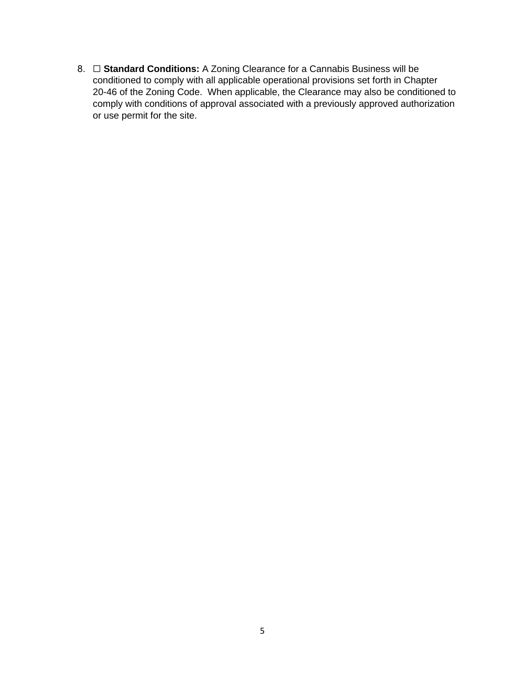8. **□ Standard Conditions:** A Zoning Clearance for a Cannabis Business will be conditioned to comply with all applicable operational provisions set forth in Chapter 20-46 of the Zoning Code. When applicable, the Clearance may also be conditioned to comply with conditions of approval associated with a previously approved authorization or use permit for the site.